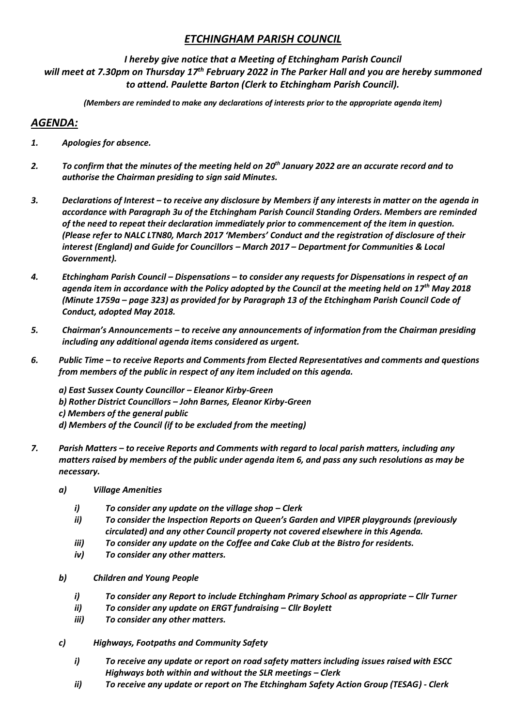## *ETCHINGHAM PARISH COUNCIL*

## *I hereby give notice that a Meeting of Etchingham Parish Council*

*will meet at 7.30pm on Thursday 17th February 2022 in The Parker Hall and you are hereby summoned to attend. Paulette Barton (Clerk to Etchingham Parish Council).* 

*(Members are reminded to make any declarations of interests prior to the appropriate agenda item)*

## *AGENDA:*

- *1. Apologies for absence.*
- *2. To confirm that the minutes of the meeting held on 20th January 2022 are an accurate record and to authorise the Chairman presiding to sign said Minutes.*
- *3. Declarations of Interest – to receive any disclosure by Members if any interests in matter on the agenda in accordance with Paragraph 3u of the Etchingham Parish Council Standing Orders. Members are reminded of the need to repeat their declaration immediately prior to commencement of the item in question. (Please refer to NALC LTN80, March 2017 'Members' Conduct and the registration of disclosure of their interest (England) and Guide for Councillors – March 2017 – Department for Communities & Local Government).*
- *4. Etchingham Parish Council – Dispensations – to consider any requests for Dispensations in respect of an agenda item in accordance with the Policy adopted by the Council at the meeting held on 17th May 2018 (Minute 1759a – page 323) as provided for by Paragraph 13 of the Etchingham Parish Council Code of Conduct, adopted May 2018.*
- *5. Chairman's Announcements – to receive any announcements of information from the Chairman presiding including any additional agenda items considered as urgent.*
- *6. Public Time – to receive Reports and Comments from Elected Representatives and comments and questions from members of the public in respect of any item included on this agenda.*

*a) East Sussex County Councillor – Eleanor Kirby-Green b) Rother District Councillors – John Barnes, Eleanor Kirby-Green c) Members of the general public d) Members of the Council (if to be excluded from the meeting)*

- *7. Parish Matters – to receive Reports and Comments with regard to local parish matters, including any matters raised by members of the public under agenda item 6, and pass any such resolutions as may be necessary.*
	- *a) Village Amenities*
		- *i*) *To consider any update on the village shop Clerk*
		- *ii) To consider the Inspection Reports on Queen's Garden and VIPER playgrounds (previously circulated) and any other Council property not covered elsewhere in this Agenda.*
		- *iii) To consider any update on the Coffee and Cake Club at the Bistro for residents.*
		- *iv) To consider any other matters.*
	- *b) Children and Young People*
		- *i*) *To consider any Report to include Etchingham Primary School as appropriate Cllr Turner*
		- *ii) To consider any update on ERGT fundraising – Cllr Boylett*
		- *iii) To consider any other matters.*
	- *c) Highways, Footpaths and Community Safety*
		- *i) To receive any update or report on road safety matters including issues raised with ESCC Highways both within and without the SLR meetings – Clerk*
		- *ii) To receive any update or report on The Etchingham Safety Action Group (TESAG) - Clerk*